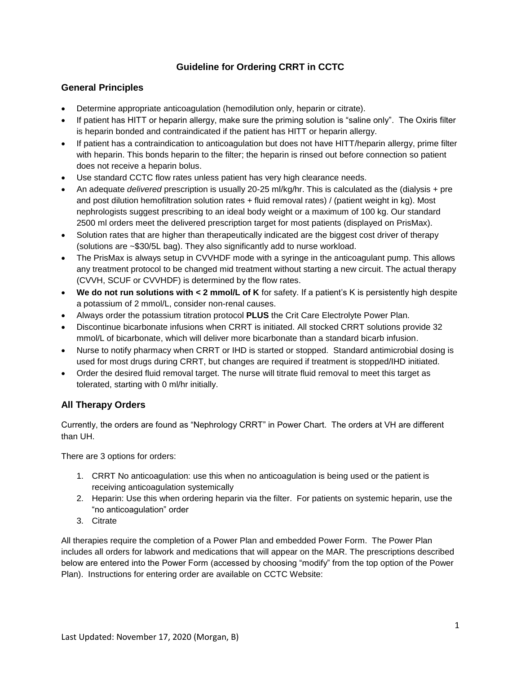# **Guideline for Ordering CRRT in CCTC**

## **General Principles**

- Determine appropriate anticoagulation (hemodilution only, heparin or citrate).
- If patient has HITT or heparin allergy, make sure the priming solution is "saline only". The Oxiris filter is heparin bonded and contraindicated if the patient has HITT or heparin allergy.
- If patient has a contraindication to anticoagulation but does not have HITT/heparin allergy, prime filter with heparin. This bonds heparin to the filter; the heparin is rinsed out before connection so patient does not receive a heparin bolus.
- Use standard CCTC flow rates unless patient has very high clearance needs.
- An adequate *delivered* prescription is usually 20-25 ml/kg/hr. This is calculated as the (dialysis + pre and post dilution hemofiltration solution rates + fluid removal rates) / (patient weight in kg). Most nephrologists suggest prescribing to an ideal body weight or a maximum of 100 kg. Our standard 2500 ml orders meet the delivered prescription target for most patients (displayed on PrisMax).
- Solution rates that are higher than therapeutically indicated are the biggest cost driver of therapy (solutions are ~\$30/5L bag). They also significantly add to nurse workload.
- The PrisMax is always setup in CVVHDF mode with a syringe in the anticoagulant pump. This allows any treatment protocol to be changed mid treatment without starting a new circuit. The actual therapy (CVVH, SCUF or CVVHDF) is determined by the flow rates.
- **We do not run solutions with < 2 mmol/L of K** for safety. If a patient's K is persistently high despite a potassium of 2 mmol/L, consider non-renal causes.
- Always order the potassium titration protocol **PLUS** the Crit Care Electrolyte Power Plan.
- Discontinue bicarbonate infusions when CRRT is initiated. All stocked CRRT solutions provide 32 mmol/L of bicarbonate, which will deliver more bicarbonate than a standard bicarb infusion.
- Nurse to notify pharmacy when CRRT or IHD is started or stopped. Standard antimicrobial dosing is used for most drugs during CRRT, but changes are required if treatment is stopped/IHD initiated.
- Order the desired fluid removal target. The nurse will titrate fluid removal to meet this target as tolerated, starting with 0 ml/hr initially.

## **All Therapy Orders**

Currently, the orders are found as "Nephrology CRRT" in Power Chart. The orders at VH are different than UH.

There are 3 options for orders:

- 1. CRRT No anticoagulation: use this when no anticoagulation is being used or the patient is receiving anticoagulation systemically
- 2. Heparin: Use this when ordering heparin via the filter. For patients on systemic heparin, use the "no anticoagulation" order
- 3. Citrate

All therapies require the completion of a Power Plan and embedded Power Form. The Power Plan includes all orders for labwork and medications that will appear on the MAR. The prescriptions described below are entered into the Power Form (accessed by choosing "modify" from the top option of the Power Plan). Instructions for entering order are available on CCTC Website: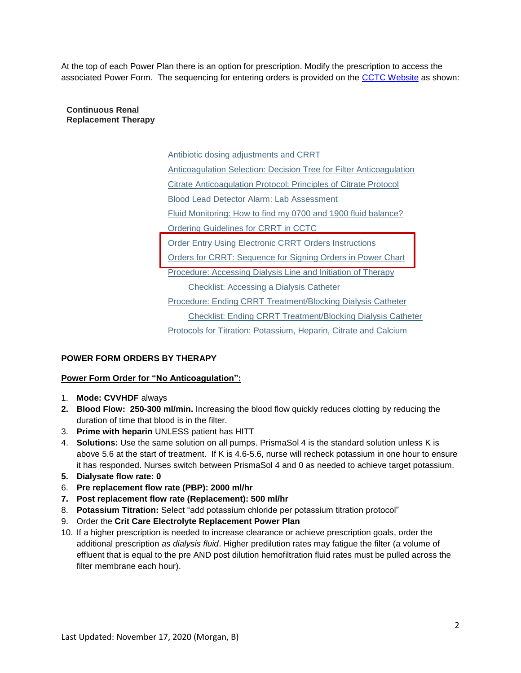At the top of each Power Plan there is an option for prescription. Modify the prescription to access the associated Power Form. The sequencing for entering orders is provided on the [CCTC Website](https://www.lhsc.on.ca/critical-care-trauma-centre/cctc-clinical-practice-index) as shown:

**Continuous Renal Replacement Therapy**

> [Antibiotic dosing adjustments and CRRT](https://www.lhsc.on.ca/media/2039/download) [Anticoagulation Selection: Decision Tree for Filter Anticoagulation](https://www.lhsc.on.ca/media/2035/download) [Citrate](https://www.lhsc.on.ca/media/2037/download) [Anticoagulation Protocol: Principles of Citrate Protocol](https://www.lhsc.on.ca/media/2037/download) [Blood Lead Detector Alarm: Lab Assessment](https://www.lhsc.on.ca/media/3776/download) [Fluid Monitoring: How to find my 0700 and 1900 fluid balance?](https://www.lhsc.on.ca/media/4045/download) [Ordering Guidelines for CRRT in CCTC](https://www.lhsc.on.ca/media/2038/download) **[Order Entry Using Electronic CRRT Orders Instructions](https://www.lhsc.on.ca/media/2034/download)** [Orders for CRRT: Sequence for Signing Orders in Power Chart](https://www.lhsc.on.ca/media/2108/download) [Procedure: Accessing Dialysis Line and Initiation of Therapy](https://www.lhsc.on.ca/critical-care-trauma-centre/accessing-crrt-in-cctc) [Checklist: Accessing a Dialysis Catheter](https://www.lhsc.on.ca/media/3767/download) [Procedure: Ending CRRT Treatment/Blocking Dialysis Catheter](https://www.lhsc.on.ca/critical-care-trauma-centre/accessing-crrt-in-cctc-0) [Checklist: Ending CRRT Treatment/Blocking Dialysis Catheter](https://www.lhsc.on.ca/media/2074/download) [Protocols for Titration: Potassium, Heparin, Citrate and Calcium](https://www.lhsc.on.ca/media/2036/download)

## **POWER FORM ORDERS BY THERAPY**

#### **Power Form Order for "No Anticoagulation":**

- 1. **Mode: CVVHDF** always
- **2. Blood Flow: 250-300 ml/min.** Increasing the blood flow quickly reduces clotting by reducing the duration of time that blood is in the filter.
- 3. **Prime with heparin** UNLESS patient has HITT
- 4. **Solutions:** Use the same solution on all pumps. PrismaSol 4 is the standard solution unless K is above 5.6 at the start of treatment. If K is 4.6-5.6, nurse will recheck potassium in one hour to ensure it has responded. Nurses switch between PrismaSol 4 and 0 as needed to achieve target potassium.
- **5. Dialysate flow rate: 0**
- 6. **Pre replacement flow rate (PBP): 2000 ml/hr**
- **7. Post replacement flow rate (Replacement): 500 ml/hr**
- 8. **Potassium Titration:** Select "add potassium chloride per potassium titration protocol"
- 9. Order the **Crit Care Electrolyte Replacement Power Plan**
- 10. If a higher prescription is needed to increase clearance or achieve prescription goals, order the additional prescription *as dialysis fluid*. Higher predilution rates may fatigue the filter (a volume of effluent that is equal to the pre AND post dilution hemofiltration fluid rates must be pulled across the filter membrane each hour).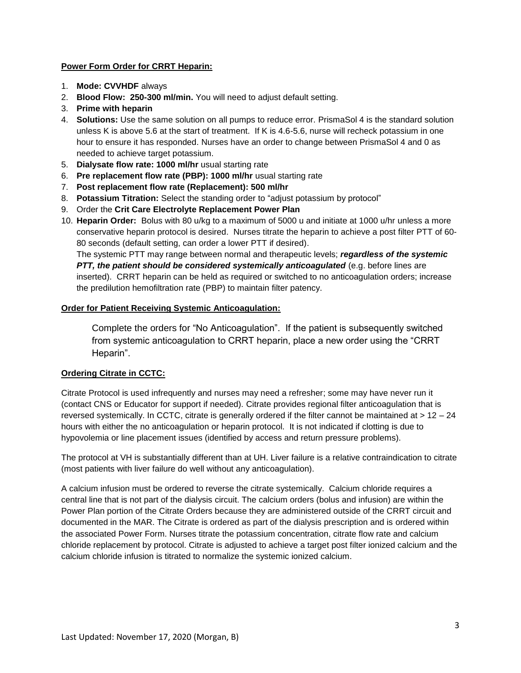### **Power Form Order for CRRT Heparin:**

- 1. **Mode: CVVHDF** always
- 2. **Blood Flow: 250-300 ml/min.** You will need to adjust default setting.
- 3. **Prime with heparin**
- 4. **Solutions:** Use the same solution on all pumps to reduce error. PrismaSol 4 is the standard solution unless K is above 5.6 at the start of treatment. If K is 4.6-5.6, nurse will recheck potassium in one hour to ensure it has responded. Nurses have an order to change between PrismaSol 4 and 0 as needed to achieve target potassium.
- 5. **Dialysate flow rate: 1000 ml/hr** usual starting rate
- 6. **Pre replacement flow rate (PBP): 1000 ml/hr** usual starting rate
- 7. **Post replacement flow rate (Replacement): 500 ml/hr**
- 8. **Potassium Titration:** Select the standing order to "adjust potassium by protocol"
- 9. Order the **Crit Care Electrolyte Replacement Power Plan**
- 10. **Heparin Order:** Bolus with 80 u/kg to a maximum of 5000 u and initiate at 1000 u/hr unless a more conservative heparin protocol is desired. Nurses titrate the heparin to achieve a post filter PTT of 60- 80 seconds (default setting, can order a lower PTT if desired).

The systemic PTT may range between normal and therapeutic levels; *regardless of the systemic PTT, the patient should be considered systemically anticoagulated* (e.g. before lines are inserted). CRRT heparin can be held as required or switched to no anticoagulation orders; increase the predilution hemofiltration rate (PBP) to maintain filter patency.

## **Order for Patient Receiving Systemic Anticoagulation:**

Complete the orders for "No Anticoagulation". If the patient is subsequently switched from systemic anticoagulation to CRRT heparin, place a new order using the "CRRT Heparin".

## **Ordering Citrate in CCTC:**

Citrate Protocol is used infrequently and nurses may need a refresher; some may have never run it (contact CNS or Educator for support if needed). Citrate provides regional filter anticoagulation that is reversed systemically. In CCTC, citrate is generally ordered if the filter cannot be maintained at > 12 – 24 hours with either the no anticoagulation or heparin protocol. It is not indicated if clotting is due to hypovolemia or line placement issues (identified by access and return pressure problems).

The protocol at VH is substantially different than at UH. Liver failure is a relative contraindication to citrate (most patients with liver failure do well without any anticoagulation).

A calcium infusion must be ordered to reverse the citrate systemically. Calcium chloride requires a central line that is not part of the dialysis circuit. The calcium orders (bolus and infusion) are within the Power Plan portion of the Citrate Orders because they are administered outside of the CRRT circuit and documented in the MAR. The Citrate is ordered as part of the dialysis prescription and is ordered within the associated Power Form. Nurses titrate the potassium concentration, citrate flow rate and calcium chloride replacement by protocol. Citrate is adjusted to achieve a target post filter ionized calcium and the calcium chloride infusion is titrated to normalize the systemic ionized calcium.